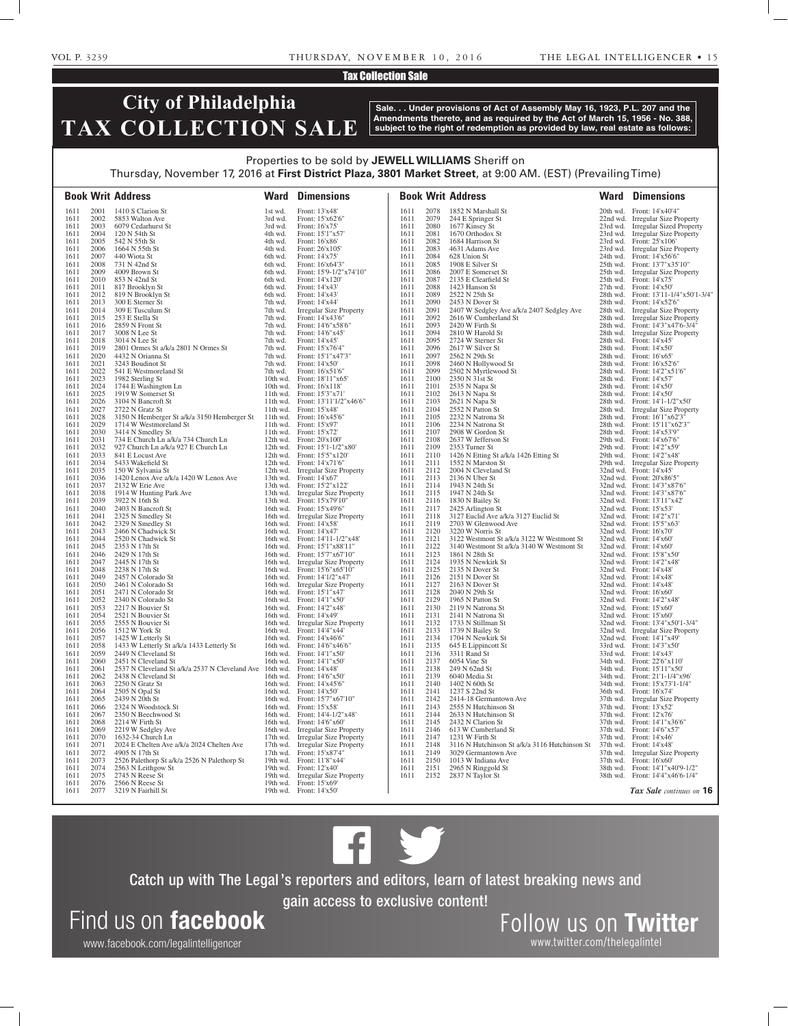### Tax Collection Sale

# **City of Philadelphia TAX COLLECTION SALE**

**Sale. . . Under provisions of Act of Assembly May 16, 1923, P.L. 207 and the Amendments thereto, and as required by the Act of March 15, 1956 - No. 388, subject to the right of redemption as provided by law, real estate as follows:**

### Properties to be sold by **JEWELL WILLIAMS** Sheriff on Thursday, November 17, 2016 at **First District Plaza, 3801 Market Street**, at 9:00 AM. (EST) (Prevailing Time)

|              |              | <b>Book Writ Address</b>                                                   |                    | <b>Ward Dimensions</b>                                       |              |              | <b>Book Writ Address</b>                                                               |          | <b>Ward Dimensions</b>                                             |
|--------------|--------------|----------------------------------------------------------------------------|--------------------|--------------------------------------------------------------|--------------|--------------|----------------------------------------------------------------------------------------|----------|--------------------------------------------------------------------|
| 1611         | 2001         | 1410 S Clarion St                                                          | 1st wd.            | Front: 13'x48'                                               | 1611         | 2078         | 1852 N Marshall St                                                                     |          | 20th wd. Front: 14'x40'4"                                          |
| 1611         | 2002         | 5853 Walton Ave                                                            | 3rd wd.            | Front: 15'x62'6"                                             | 1611         | 2079         | 244 E Springer St                                                                      |          | 22nd wd. Irregular Size Property                                   |
| 1611         | 2003         | 6079 Cedarhurst St                                                         | 3rd wd.            | Front: 16'x75'                                               | 1611         | 2080         | 1677 Kinsey St                                                                         | 23rd wd. | <b>Irregular Sized Property</b>                                    |
| 1611         | 2004         | 120 N 54th St                                                              | 4th wd.            | Front: 15'1"x57"                                             | 1611         | 2081         | 1670 Orthodox St                                                                       | 23rd wd. | <b>Irregular Size Property</b>                                     |
| 1611         | 2005         | 542 N 55th St                                                              | 4th wd.            | Front: 16'x86'                                               | 1611         | 2082         | 1684 Harrison St                                                                       |          | 23rd wd. Front: 25'x106'                                           |
| 1611         | 2006         | 1664 N 55th St                                                             | 4th wd.            | Front: 26'x105'                                              | 1611         | 2083         | 4631 Adams Ave                                                                         |          | 23rd wd. Irregular Size Property                                   |
| 1611         | 2007         | 440 Wiota St                                                               | 6th wd.            | Front: 14'x75'                                               | 1611         | 2084         | 628 Union St                                                                           | 24th wd. | Front: 14'x56'6"                                                   |
| 1611         | 2008         | 731 N 42nd St                                                              | 6th wd.            | Front: 16'x64'3"                                             | 1611         | 2085         | 1908 E Silver St                                                                       |          | 25th wd. Front: 13'7"x35'10"                                       |
| 1611         | 2009         | 4009 Brown St                                                              | 6th wd.            | Front: 15'9-1/2"x74'10"                                      | 1611         | 2086         | 2007 E Somerset St                                                                     | 25th wd. | <b>Irregular Size Property</b>                                     |
| 1611         | 2010         | 853 N 42nd St                                                              | 6th wd.            | Front: 14'x120'                                              | 1611         | 2087         | 2135 E Clearfield St                                                                   |          | 25th wd. Front: 14'x75'                                            |
| 1611         | 2011         | 817 Brooklyn St                                                            | 6th wd.            | Front: 14'x43'                                               | 1611         | 2088         | 1423 Hanson St                                                                         |          | 27th wd. Front: $14'x50'$                                          |
| 1611         | 2012<br>2013 | 819 N Brooklyn St                                                          | 6th wd.            | Front: 14'x43'                                               | 1611<br>1611 | 2089<br>2090 | 2522 N 25th St                                                                         |          | 28th wd. Front: 13'11-1/4"x50'1-3/4"                               |
| 1611<br>1611 | 2014         | 300 E Sterner St<br>309 E Tusculum St                                      | 7th wd.<br>7th wd. | Front: 14'x44'<br>Irregular Size Property                    | 1611         | 2091         | 2453 N Dover St<br>2407 W Sedgley Ave a/k/a 2407 Sedgley Ave                           |          | 28th wd. Front: 14'x52'6"<br>28th wd. Irregular Size Property      |
| 1611         | 2015         | 253 E Stella St                                                            | 7th wd.            | Front: 14'x43'6"                                             | 1611         | 2092         | 2616 W Cumberland St                                                                   | 28th wd. | <b>Irregular Size Property</b>                                     |
| 1611         | 2016         | 2859 N Front St                                                            | 7th wd.            | Front: 14'6"x58'6"                                           | 1611         | 2093         | 2420 W Firth St                                                                        |          | 28th wd. Front: 14'3"x47'6-3/4"                                    |
| 1611         | 2017         | 3008 N Lee St                                                              | 7th wd.            | Front: 14'6"x45"                                             | 1611         | 2094         | 2810 W Harold St                                                                       |          | 28th wd. Irregular Size Property                                   |
| 1611         | 2018         | 3014 N Lee St                                                              | 7th wd.            | Front: 14'x45'                                               | 1611         | 2095         | 2724 W Sterner St                                                                      |          | 28th wd. Front: 14'x45'                                            |
| 1611         | 2019         | 2801 Ormes St a/k/a 2801 N Ormes St                                        | 7th wd.            | Front: 15'x76'4"                                             | 1611         | 2096         | 2617 W Silver St                                                                       |          | 28th wd. Front: 14'x50'                                            |
| 1611         | 2020         | 4432 N Orianna St                                                          | 7th wd.            | Front: 15'1"x47'3"                                           | 1611         | 2097         | 2562 N 29th St                                                                         |          | 28th wd. Front: 16'x65'                                            |
| 1611         | 2021         | 3243 Boudinot St                                                           | 7th wd.            | Front: 14'x50'                                               | 1611         | 2098         | 2460 N Hollywood St                                                                    |          | 28th wd. Front: 16'x52'6"                                          |
| 1611         | 2022         | 541 E Westmoreland St                                                      | 7th wd.            | Front: 16'x51'6"                                             | 1611         | 2099         | 2502 N Myrtlewood St                                                                   |          | 28th wd. Front: 14'2"x51'6"                                        |
| 1611         | 2023         | 1982 Sterling St                                                           |                    | 10th wd. Front: 18'11"x65"                                   | 1611         | 2100         | 2350 N 31st St                                                                         |          | 28th wd. Front: 14'x57'                                            |
| 1611         | 2024         | 1744 E Washington Ln                                                       |                    | 10th wd. Front: 16'x118'                                     | 1611         | 2101         | 2535 N Napa St                                                                         |          | 28th wd. Front: 14'x50'                                            |
| 1611         | 2025         | 1919 W Somerset St                                                         |                    | 11th wd. Front: 15'3"x71"                                    | 1611         | 2102         | 2613 N Napa St                                                                         |          | 28th wd. Front: 14'x50'                                            |
| 1611         | 2026         | 3104 N Bancroft St                                                         |                    | 11th wd. Front: 13'11'1/2"x46'6"                             | 1611         | 2103         | 2621 N Napa St                                                                         |          | 28th wd. Front: 14'1-1/2"x50"                                      |
| 1611         | 2027         | 2722 N Gratz St                                                            |                    | 11th wd. Front: 15'x48'                                      | 1611         | 2104         | 2552 N Patton St                                                                       |          | 28th wd. Irregular Size Property                                   |
| 1611         | 2028         | 3150 N Hemberger St a/k/a 3150 Hemberger St                                |                    | 11th wd. Front: 16'x45'6"                                    | 1611         | 2105         | 2232 N Natrona St                                                                      |          | 28th wd. Front: 16'1"x62'3"                                        |
| 1611         | 2029         | 1714 W Westmoreland St                                                     |                    | 11th wd. Front: $15'x97'$                                    | 1611         | 2106         | 2234 N Natrona St<br>2908 W Gordon St                                                  |          | 28th wd. Front: 15'11"x62'3"                                       |
| 1611<br>1611 | 2030<br>2031 | 3414 N Smedley St                                                          |                    | 11th wd. Front: 15'x72'<br>12th wd. Front: $20'x100'$        | 1611<br>1611 | 2107<br>2108 | 2637 W Jefferson St                                                                    |          | 28th wd. Front: 14'x53'9"<br>29th wd. Front: 14'x67'6"             |
| 1611         | 2032         | 734 E Church Ln a/k/a 734 Church Ln<br>927 Church Ln a/k/a 927 E Church Ln |                    | 12th wd. Front: 15'1-1/2"x80'                                | 1611         | 2109         | 2353 Turner St                                                                         |          | 29th wd. Front: 14'2"x59"                                          |
| 1611         | 2033         | 841 E Locust Ave                                                           |                    | 12th wd. Front: 15'5"x120"                                   | 1611         | 2110         | 1426 N Etting St a/k/a 1426 Etting St                                                  |          | 29th wd. Front: 14'2"x48'                                          |
| 1611         | 2034         | 5433 Wakefield St                                                          |                    | 12th wd. Front: 14'x71'6"                                    | 1611         | 2111         | 1552 N Marston St                                                                      |          | 29th wd. Irregular Size Property                                   |
| 1611         | 2035         | 150 W Sylvania St                                                          |                    | 12th wd. Irregular Size Property                             | 1611         | 2112         | 2004 N Cleveland St                                                                    |          | 32nd wd. Front: 14'x45'                                            |
| 1611         | 2036         | 1420 Lenox Ave a/k/a 1420 W Lenox Ave                                      |                    | 13th wd. Front: 14'x67'                                      | 1611         | 2113         | 2136 N Uber St                                                                         |          | 32nd wd. Front: 20'x86'5"                                          |
| 1611         | 2037         | 2132 W Erie Ave                                                            |                    | 13th wd. Front: 15'2"x122"                                   | 1611         | 2114         | 1943 N 24th St                                                                         |          | 32nd wd. Front: 14'3"x87'6"                                        |
| 1611         | 2038         | 1914 W Hunting Park Ave                                                    | 13th wd.           | <b>Irregular Size Property</b>                               | 1611         | 2115         | 1947 N 24th St                                                                         |          | 32nd wd. Front: 14'3"x87'6"                                        |
| 1611         | 2039         | 3922 N 16th St                                                             |                    | 13th wd. Front: 15'x79'10"                                   | 1611         | 2116         | 1830 N Bailey St                                                                       |          | 32nd wd. Front: 13'11"x42"                                         |
| 1611         | 2040         | 2403 N Bancroft St                                                         |                    | 16th wd. Front: 15'x49'6"                                    | 1611         | 2117         | 2425 Arlington St                                                                      |          | 32nd wd. Front: 15'x53'                                            |
| 1611         | 2041         | 2325 N Smedley St                                                          |                    | 16th wd. Irregular Size Property                             | 1611         | 2118         | 3127 Euclid Ave a/k/a 3127 Euclid St                                                   |          | 32nd wd. Front: 14'2"x71'                                          |
| 1611         | 2042         | 2329 N Smedley St                                                          |                    | 16th wd. Front: 14'x58'                                      | 1611         | 2119         | 2703 W Glenwood Ave                                                                    |          | 32nd wd. Front: 15'5"x63"                                          |
| 1611         | 2043         | 2466 N Chadwick St                                                         |                    | 16th wd. Front: 14'x47'                                      | 1611         | 2120         | 3220 W Norris St                                                                       |          | 32nd wd. Front: 16'x70'                                            |
| 1611<br>1611 | 2044<br>2045 | 2520 N Chadwick St<br>2353 N 17th St                                       |                    | 16th wd. Front: 14'11-1/2"x48"                               | 1611<br>1611 | 2121<br>2122 | 3122 Westmont St a/k/a 3122 W Westmont St<br>3140 Westmont St a/k/a 3140 W Westmont St |          | $32nd$ wd. Front: $14'x60'$                                        |
| 1611         | 2046         | 2429 N 17th St                                                             |                    | 16th wd. Front: 15'1"x88'11"<br>16th wd. Front: 15'7"x67'10" | 1611         | 2123         | 1861 N 28th St                                                                         |          | $32nd$ wd. Front: $14'x60'$<br>32nd wd. Front: 15'8"x50"           |
| 1611         | 2047         | 2445 N 17th St                                                             |                    | 16th wd. Irregular Size Property                             | 1611         | 2124         | 1935 N Newkirk St                                                                      |          | 32nd wd. Front: 14'2"x48"                                          |
| 1611         | 2048         | 2238 N 17th St                                                             | 16th wd.           | Front: 15'6"x65'10"                                          | 1611         | 2125         | 2135 N Dover St                                                                        |          | 32nd wd. Front: 14'x48'                                            |
| 1611         | 2049         | 2457 N Colorado St                                                         |                    | 16th wd. Front: 14'1/2"x47'                                  | 1611         | 2126         | 2151 N Dover St                                                                        |          | 32nd wd. Front: 14'x48'                                            |
| 1611         | 2050         | 2461 N Colorado St                                                         |                    | 16th wd. Irregular Size Property                             | 1611         | 2127         | 2163 N Dover St                                                                        |          | 32nd wd. Front: 14'x48'                                            |
| 1611         | 2051         | 2471 N Colorado St                                                         |                    | 16th wd. Front: 15'1"x47'                                    | 1611         | 2128         | 2040 N 29th St                                                                         |          | 32nd wd. Front: 16'x60'                                            |
| 1611         | 2052         | 2340 N Colorado St                                                         |                    | 16th wd. Front: 14'1"x50"                                    | 1611         | 2129         | 1965 N Patton St                                                                       |          | 32nd wd. Front: 14'2"x48"                                          |
| 1611         | 2053         | 2217 N Bouvier St                                                          |                    | 16th wd. Front: 14'2"x48"                                    | 1611         | 2130         | 2119 N Natrona St                                                                      |          | 32nd wd. Front: 15'x60'                                            |
| 1611         | 2054         | 2521 N Bouvier St                                                          |                    | 16th wd. Front: 14'x49'                                      | 1611         | 2131         | 2141 N Natrona St                                                                      |          | 32nd wd. Front: 15'x60'                                            |
| 1611         | 2055         | 2555 N Bouvier St                                                          |                    | 16th wd. Irregular Size Property                             | 1611         | 2132         | 1733 N Stillman St                                                                     |          | 32nd wd. Front: 13'4"x50'1-3/4"                                    |
| 1611         | 2056         | 1512 W York St                                                             |                    | 16th wd. Front: 14'4"x44"                                    | 1611         | 2133         | 1739 N Bailey St                                                                       |          | 32nd wd. Irregular Size Property                                   |
| 1611         | 2057         | 1425 W Letterly St                                                         |                    | 16th wd. Front: 14'x46'6"                                    | 1611         | 2134         | 1704 N Newkirk St                                                                      |          | 32nd wd. Front: 14'1"x49"                                          |
| 1611         | 2058         | 1433 W Letterly St a/k/a 1433 Letterly St                                  |                    | 16th wd. Front: 14'6"x46'6"                                  | 1611         | 2135         | 645 E Lippincott St                                                                    |          | 33rd wd. Front: 14'3"x50"                                          |
| 1611<br>1611 | 2059<br>2060 | 2449 N Cleveland St<br>2451 N Cleveland St                                 |                    | 16th wd. Front: 14'1"x50"<br>16th wd. Front: 14'1"x50"       | 1611<br>1611 | 2136<br>2137 | 3311 Rand St<br>6054 Vine St                                                           |          | 33rd wd. Front: 14'x43'<br>34th wd. Front: 22'6"x110"              |
| 1611         | 2061         | 2537 N Cleveland St a/k/a 2537 N Cleveland Ave                             |                    | 16th wd. Front: $14'x48'$                                    | 1611         | 2138         | 249 N 62nd St                                                                          |          | 34th wd. Front: 15'11"x50"                                         |
| 1611         | 2062         | 2438 N Cleveland St                                                        |                    | 16th wd. Front: 14'6"x50"                                    | 1611         | 2139         | 6040 Media St                                                                          |          | 34th wd. Front: 21'1-1/4"x96'                                      |
| 1611         | 2063         | 2250 N Gratz St                                                            |                    | 16th wd. Front: 14'x45'6"                                    | 1611         | 2140         | 1402 N 60th St                                                                         |          | 34th wd. Front: 15'x73'1-1/4"                                      |
| 1611         | 2064         | 2505 N Opal St                                                             |                    | 16th wd. Front: 14'x50'                                      | 1611         | 2141         | 1237 S 22nd St                                                                         |          | 36th wd. Front: 16'x74'                                            |
| 1611         | 2065         | 2439 N 20th St                                                             |                    | 16th wd. Front: 15'7"x67'10"                                 | 1611         | 2142         | 2414-18 Germantown Ave                                                                 |          | 37th wd. Irregular Size Property                                   |
| 1611         | 2066         | 2324 N Woodstock St                                                        |                    | 16th wd. Front: 15'x58'                                      | 1611         | 2143         | 2555 N Hutchinson St                                                                   |          | 37th wd. Front: 13'x52'                                            |
| 1611         | 2067         | 2350 N Beechwood St                                                        |                    | 16th wd. Front: 14'4-1/2"x48'                                | 1611         | 2144         | 2633 N Hutchinson St                                                                   |          | 37th wd. Front: 12'x76'                                            |
| 1611         | 2068         | 2214 W Firth St                                                            |                    | 16th wd. Front: 14'6"x60"                                    | 1611         | 2145         | 2432 N Clarion St                                                                      |          | 37th wd. Front: 14'1"x36'6"                                        |
| 1611         | 2069         | 2219 W Sedgley Ave                                                         |                    | 16th wd. Irregular Size Property                             | 1611         | 2146         | 613 W Cumberland St                                                                    |          | 37th wd. Front: 14'6"x57'                                          |
| 1611         | 2070         | 1632-34 Church Ln                                                          |                    | 17th wd. Irregular Size Property                             | 1611         | 2147         | 1231 W Firth St                                                                        |          | 37th wd. Front: 14'x46'                                            |
| 1611         | 2071         | 2024 E Chelten Ave a/k/a 2024 Chelten Ave                                  |                    | 17th wd. Irregular Size Property                             | 1611         | 2148         | 3116 N Hutchinson St a/k/a 3116 Hutchinson St                                          |          | 37th wd. Front: 14'x48'                                            |
| 1611         | 2072         | 4905 N 17th St                                                             |                    | 17th wd. Front: 15'x87'4"                                    | 1611         | 2149         | 3029 Germantown Ave                                                                    |          | 37th wd. Irregular Size Property                                   |
| 1611         | 2073         | 2526 Palethorp St a/k/a 2526 N Palethorp St                                |                    | 19th wd. Front: 11'8"x44'                                    | 1611         | 2150         | 1013 W Indiana Ave                                                                     |          | 37th wd. Front: 16'x60'                                            |
| 1611<br>1611 | 2074<br>2075 | 2563 N Leithgow St<br>2745 N Reese St                                      |                    | 19th wd. Front: 12'x40'                                      | 1611<br>1611 | 2151<br>2152 | 2965 N Ringgold St                                                                     |          | 38th wd. Front: 14'1"x40'9-1/2"<br>38th wd. Front: 14'4"x46'6-1/4" |
| 1611         | 2076         | 2566 N Reese St                                                            |                    | 19th wd. Irregular Size Property<br>19th wd. Front: 15'x69'  |              |              | 2837 N Taylor St                                                                       |          |                                                                    |
| 1611         | 2077         | 3219 N Fairhill St                                                         |                    | 19th wd. Front: 14'x50'                                      |              |              |                                                                                        |          | Tax Sale continues on 16                                           |
|              |              |                                                                            |                    |                                                              |              |              |                                                                                        |          |                                                                    |



Catch up with The Legal 's reporters and editors, learn of latest breaking news and gain access to exclusive content!

Find us on facebook Follow us on Twitter

www.facebook.com/legalintelligencer

www.twitter.com/thelegalintel